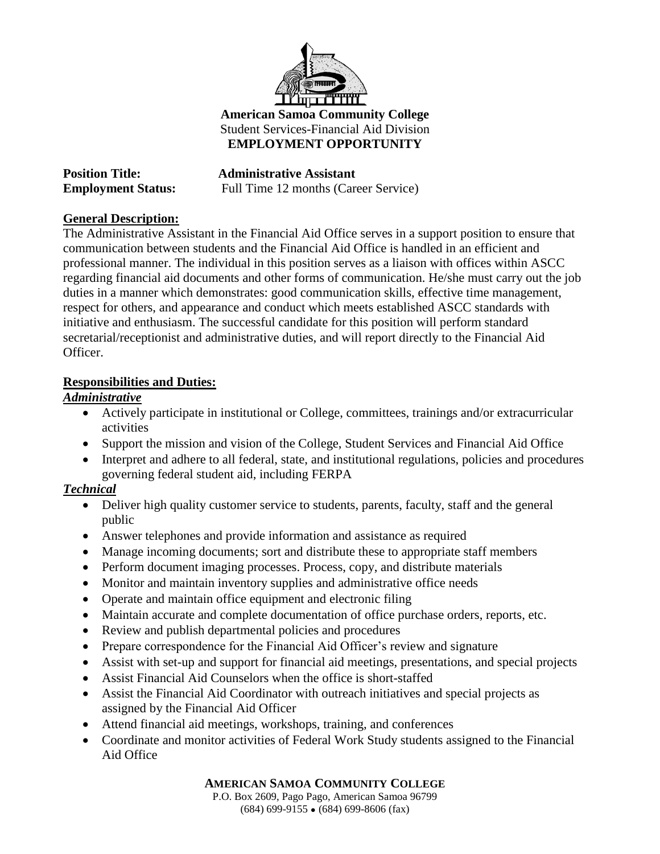

#### **American Samoa Community College** Student Services-Financial Aid Division **EMPLOYMENT OPPORTUNITY**

| <b>Position Title:</b>    | <b>Administrative Assistant</b>      |
|---------------------------|--------------------------------------|
| <b>Employment Status:</b> | Full Time 12 months (Career Service) |

### **General Description:**

The Administrative Assistant in the Financial Aid Office serves in a support position to ensure that communication between students and the Financial Aid Office is handled in an efficient and professional manner. The individual in this position serves as a liaison with offices within ASCC regarding financial aid documents and other forms of communication. He/she must carry out the job duties in a manner which demonstrates: good communication skills, effective time management, respect for others, and appearance and conduct which meets established ASCC standards with initiative and enthusiasm. The successful candidate for this position will perform standard secretarial/receptionist and administrative duties, and will report directly to the Financial Aid Officer.

#### **Responsibilities and Duties:**

### *Administrative*

- Actively participate in institutional or College, committees, trainings and/or extracurricular activities
- Support the mission and vision of the College, Student Services and Financial Aid Office
- Interpret and adhere to all federal, state, and institutional regulations, policies and procedures governing federal student aid, including FERPA

# *Technical*

- Deliver high quality customer service to students, parents, faculty, staff and the general public
- Answer telephones and provide information and assistance as required
- Manage incoming documents; sort and distribute these to appropriate staff members
- Perform document imaging processes. Process, copy, and distribute materials
- Monitor and maintain inventory supplies and administrative office needs
- Operate and maintain office equipment and electronic filing
- Maintain accurate and complete documentation of office purchase orders, reports, etc.
- Review and publish departmental policies and procedures
- Prepare correspondence for the Financial Aid Officer's review and signature
- Assist with set-up and support for financial aid meetings, presentations, and special projects
- Assist Financial Aid Counselors when the office is short-staffed
- Assist the Financial Aid Coordinator with outreach initiatives and special projects as assigned by the Financial Aid Officer
- Attend financial aid meetings, workshops, training, and conferences
- Coordinate and monitor activities of Federal Work Study students assigned to the Financial Aid Office

**AMERICAN SAMOA COMMUNITY COLLEGE**

P.O. Box 2609, Pago Pago, American Samoa 96799  $(684)$  699-9155  $\bullet$  (684) 699-8606 (fax)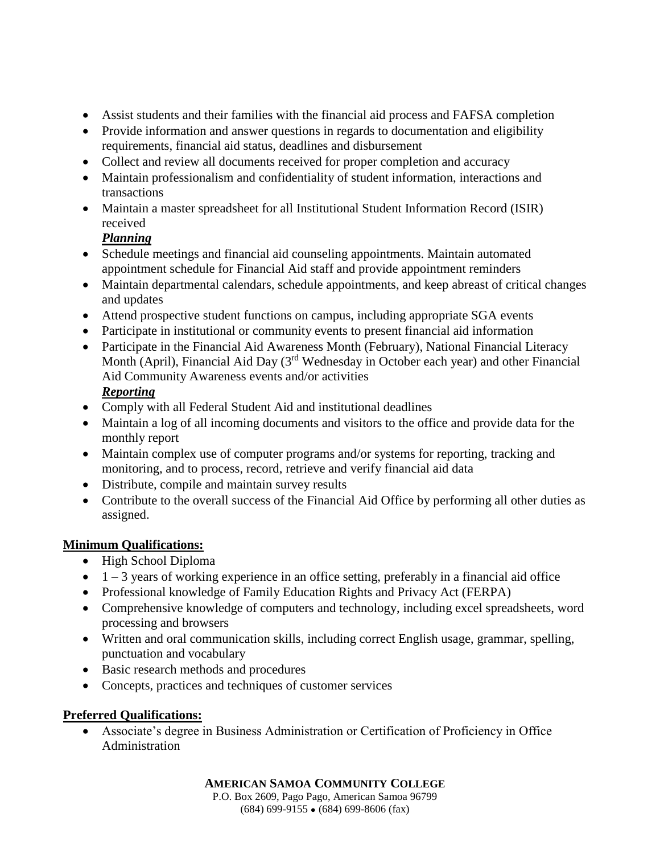- Assist students and their families with the financial aid process and FAFSA completion
- Provide information and answer questions in regards to documentation and eligibility requirements, financial aid status, deadlines and disbursement
- Collect and review all documents received for proper completion and accuracy
- Maintain professionalism and confidentiality of student information, interactions and transactions
- Maintain a master spreadsheet for all Institutional Student Information Record (ISIR) received

# *Planning*

- Schedule meetings and financial aid counseling appointments. Maintain automated appointment schedule for Financial Aid staff and provide appointment reminders
- Maintain departmental calendars, schedule appointments, and keep abreast of critical changes and updates
- Attend prospective student functions on campus, including appropriate SGA events
- Participate in institutional or community events to present financial aid information
- Participate in the Financial Aid Awareness Month (February), National Financial Literacy Month (April), Financial Aid Day (3<sup>rd</sup> Wednesday in October each year) and other Financial Aid Community Awareness events and/or activities *Reporting*
- Comply with all Federal Student Aid and institutional deadlines
- Maintain a log of all incoming documents and visitors to the office and provide data for the monthly report
- Maintain complex use of computer programs and/or systems for reporting, tracking and monitoring, and to process, record, retrieve and verify financial aid data
- Distribute, compile and maintain survey results
- Contribute to the overall success of the Financial Aid Office by performing all other duties as assigned.

# **Minimum Qualifications:**

- High School Diploma
- $\bullet$  1 3 years of working experience in an office setting, preferably in a financial aid office
- Professional knowledge of Family Education Rights and Privacy Act (FERPA)
- Comprehensive knowledge of computers and technology, including excel spreadsheets, word processing and browsers
- Written and oral communication skills, including correct English usage, grammar, spelling, punctuation and vocabulary
- Basic research methods and procedures
- Concepts, practices and techniques of customer services

# **Preferred Qualifications:**

 Associate's degree in Business Administration or Certification of Proficiency in Office Administration

#### **AMERICAN SAMOA COMMUNITY COLLEGE**

P.O. Box 2609, Pago Pago, American Samoa 96799  $(684)$  699-9155  $\bullet$  (684) 699-8606 (fax)